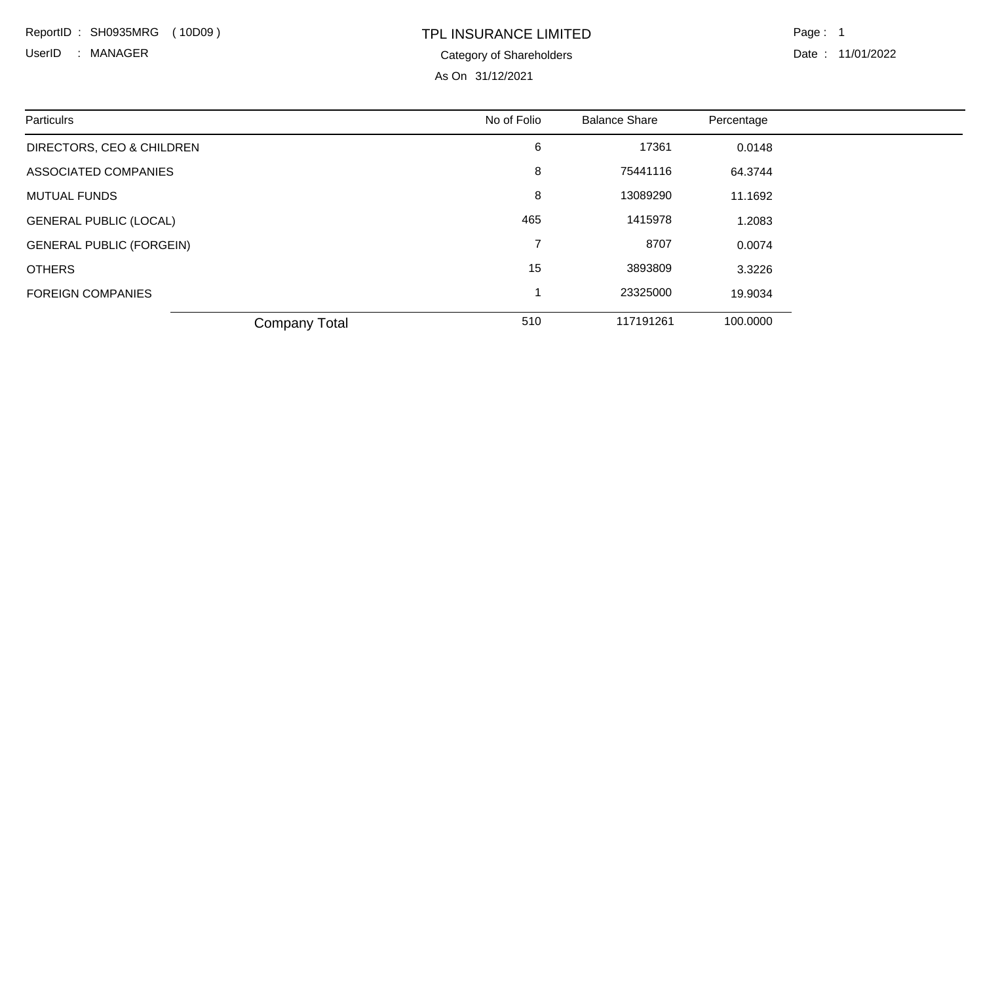ReportID : SH0935MRG ( 10D09 )

Category of Shareholders UserID : MANAGER Date : 11/01/2022

## TPL INSURANCE LIMITED

As On 31/12/2021

Page: 1

| Particulrs                      | No of Folio | <b>Balance Share</b> | Percentage |
|---------------------------------|-------------|----------------------|------------|
| DIRECTORS, CEO & CHILDREN       | 6           | 17361                | 0.0148     |
| ASSOCIATED COMPANIES            | 8           | 75441116             | 64.3744    |
| <b>MUTUAL FUNDS</b>             | 8           | 13089290             | 11.1692    |
| <b>GENERAL PUBLIC (LOCAL)</b>   | 465         | 1415978              | 1.2083     |
| <b>GENERAL PUBLIC (FORGEIN)</b> | 7           | 8707                 | 0.0074     |
| <b>OTHERS</b>                   | 15          | 3893809              | 3.3226     |
| <b>FOREIGN COMPANIES</b>        |             | 23325000             | 19.9034    |
| <b>Company Total</b>            | 510         | 117191261            | 100.0000   |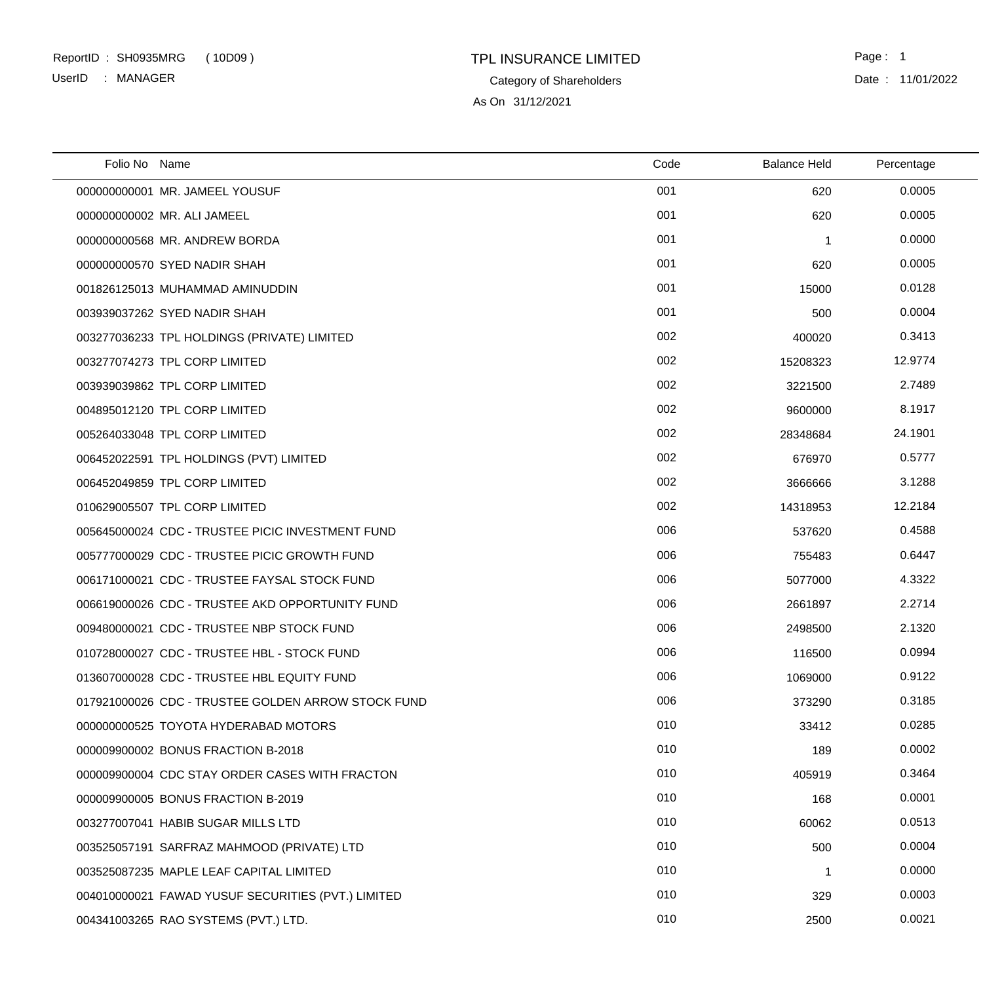### TPL INSURANCE LIMITED ReportID : SH0935MRG ( 10D09 ) Page : 1 UserID : MANAGER

Category of Shareholders

As On 31/12/2021

Date : 11/01/2022

| Folio No Name |                                                    | Code | <b>Balance Held</b> | Percentage |  |
|---------------|----------------------------------------------------|------|---------------------|------------|--|
|               | 000000000001 MR. JAMEEL YOUSUF                     | 001  | 620                 | 0.0005     |  |
|               | 000000000002 MR. ALI JAMEEL                        | 001  | 620                 | 0.0005     |  |
|               | 000000000568 MR. ANDREW BORDA                      | 001  | -1                  | 0.0000     |  |
|               | 000000000570 SYED NADIR SHAH                       | 001  | 620                 | 0.0005     |  |
|               | 001826125013 MUHAMMAD AMINUDDIN                    | 001  | 15000               | 0.0128     |  |
|               | 003939037262 SYED NADIR SHAH                       | 001  | 500                 | 0.0004     |  |
|               | 003277036233 TPL HOLDINGS (PRIVATE) LIMITED        | 002  | 400020              | 0.3413     |  |
|               | 003277074273 TPL CORP LIMITED                      | 002  | 15208323            | 12.9774    |  |
|               | 003939039862 TPL CORP LIMITED                      | 002  | 3221500             | 2.7489     |  |
|               | 004895012120 TPL CORP LIMITED                      | 002  | 9600000             | 8.1917     |  |
|               | 005264033048 TPL CORP LIMITED                      | 002  | 28348684            | 24.1901    |  |
|               | 006452022591 TPL HOLDINGS (PVT) LIMITED            | 002  | 676970              | 0.5777     |  |
|               | 006452049859 TPL CORP LIMITED                      | 002  | 3666666             | 3.1288     |  |
|               | 010629005507 TPL CORP LIMITED                      | 002  | 14318953            | 12.2184    |  |
|               | 005645000024 CDC - TRUSTEE PICIC INVESTMENT FUND   | 006  | 537620              | 0.4588     |  |
|               | 005777000029 CDC - TRUSTEE PICIC GROWTH FUND       | 006  | 755483              | 0.6447     |  |
|               | 006171000021 CDC - TRUSTEE FAYSAL STOCK FUND       | 006  | 5077000             | 4.3322     |  |
|               | 006619000026 CDC - TRUSTEE AKD OPPORTUNITY FUND    | 006  | 2661897             | 2.2714     |  |
|               | 009480000021 CDC - TRUSTEE NBP STOCK FUND          | 006  | 2498500             | 2.1320     |  |
|               | 010728000027 CDC - TRUSTEE HBL - STOCK FUND        | 006  | 116500              | 0.0994     |  |
|               | 013607000028 CDC - TRUSTEE HBL EQUITY FUND         | 006  | 1069000             | 0.9122     |  |
|               | 017921000026 CDC - TRUSTEE GOLDEN ARROW STOCK FUND | 006  | 373290              | 0.3185     |  |
|               | 000000000525 TOYOTA HYDERABAD MOTORS               | 010  | 33412               | 0.0285     |  |
|               | 000009900002 BONUS FRACTION B-2018                 | 010  | 189                 | 0.0002     |  |
|               | 000009900004 CDC STAY ORDER CASES WITH FRACTON     | 010  | 405919              | 0.3464     |  |
|               | 000009900005 BONUS FRACTION B-2019                 | 010  | 168                 | 0.0001     |  |
|               | 003277007041 HABIB SUGAR MILLS LTD                 | 010  | 60062               | 0.0513     |  |
|               | 003525057191 SARFRAZ MAHMOOD (PRIVATE) LTD         | 010  | 500                 | 0.0004     |  |
|               | 003525087235 MAPLE LEAF CAPITAL LIMITED            | 010  | -1                  | 0.0000     |  |
|               | 004010000021 FAWAD YUSUF SECURITIES (PVT.) LIMITED | 010  | 329                 | 0.0003     |  |
|               | 004341003265 RAO SYSTEMS (PVT.) LTD.               | 010  | 2500                | 0.0021     |  |